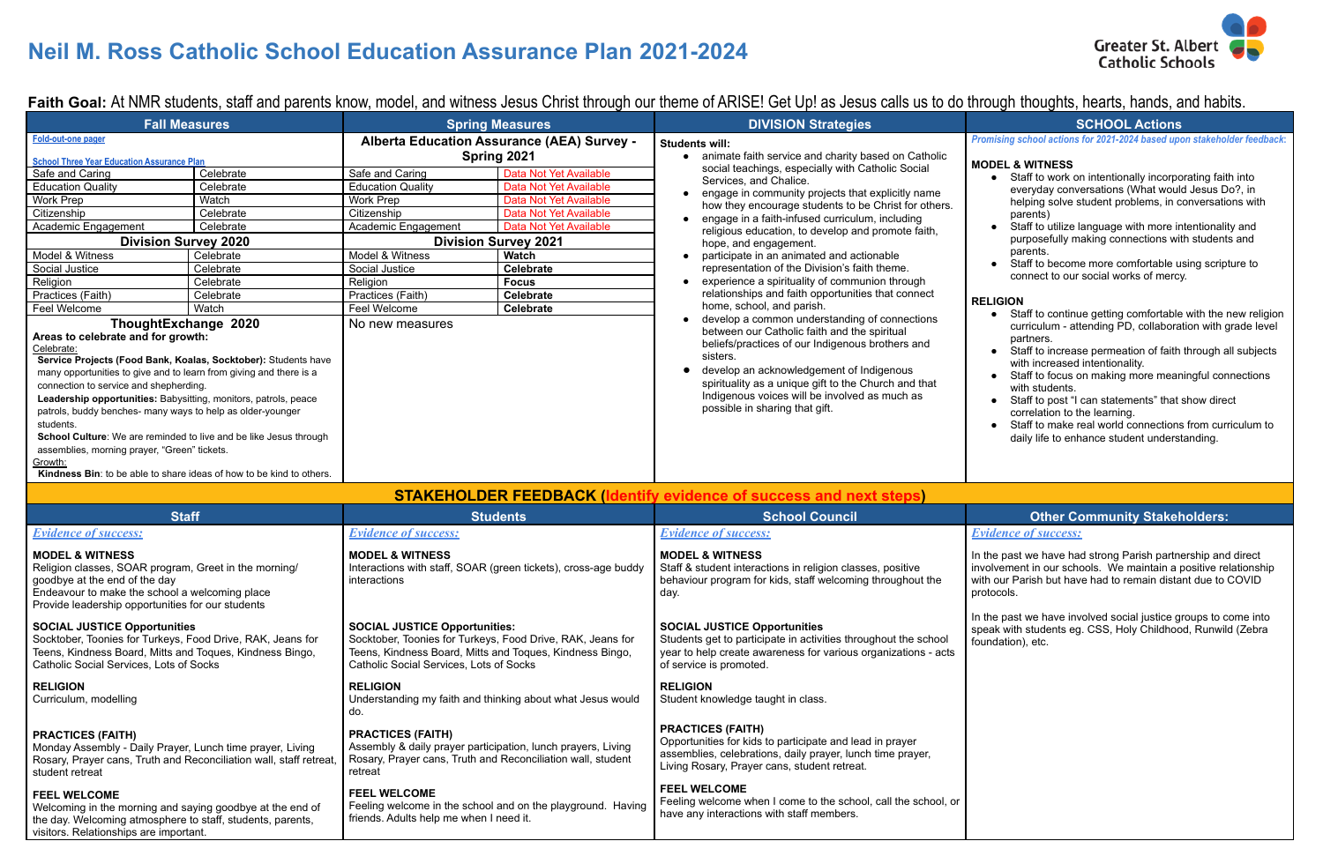# **Neil M. Ross Catholic School Education Assurance Plan 2021-2024**

Faith Goal: At NMR students, staff and parents know, model, and witness Jesus Christ through our theme of ARISE! Get Up! as Jesus calls us to do through thoughts, hearts, hands, and habits.

- Staff to work on intentionally incorporating faith into everyday conversations (What would Jesus Do?, in helping solve student problems, in conversations with parents)
- Staff to utilize language with more intentionality and purposefully making connections with students and parents.
- Staff to become more comfortable using scripture to connect to our social works of mercy.

*Promising school actions for 2021-2024 based upon stakeholder feedback***:**

### **MODEL & WITNESS**

### **RELIGION**

- Staff to continue getting comfortable with the new religion curriculum - attending PD, collaboration with grade level partners.
- Staff to increase permeation of faith through all subjects with increased intentionality.
- Staff to focus on making more meaningful connections with students.
- Staff to post "I can statements" that show direct correlation to the learning.
- Staff to make real world connections from curriculum to daily life to enhance student understanding.

## **Stateholders: Other Community Stakeholders:**

| <b>Fall Measures</b>                                                                                                                                                                                                                                                                                                                                                                                                                                                                                                                                                                                             |           | <b>Spring Measures</b>                                                                                                                                                                                    |                        | <b>DIVISION Strategies</b>                                                                                                                                                                                                                                                                          | <b>SCHOOL Actions</b>                                                                                                                                                                                                                                                                                                                             |  |
|------------------------------------------------------------------------------------------------------------------------------------------------------------------------------------------------------------------------------------------------------------------------------------------------------------------------------------------------------------------------------------------------------------------------------------------------------------------------------------------------------------------------------------------------------------------------------------------------------------------|-----------|-----------------------------------------------------------------------------------------------------------------------------------------------------------------------------------------------------------|------------------------|-----------------------------------------------------------------------------------------------------------------------------------------------------------------------------------------------------------------------------------------------------------------------------------------------------|---------------------------------------------------------------------------------------------------------------------------------------------------------------------------------------------------------------------------------------------------------------------------------------------------------------------------------------------------|--|
| Fold-out-one pager                                                                                                                                                                                                                                                                                                                                                                                                                                                                                                                                                                                               |           | Alberta Education Assurance (AEA) Survey -                                                                                                                                                                |                        | <b>Students will:</b>                                                                                                                                                                                                                                                                               | Promising school actions for 2021-2024 based upo                                                                                                                                                                                                                                                                                                  |  |
| <b>School Three Year Education Assurance Plan</b>                                                                                                                                                                                                                                                                                                                                                                                                                                                                                                                                                                |           | Spring 2021                                                                                                                                                                                               |                        | • animate faith service and charity based on Catholic                                                                                                                                                                                                                                               | <b>MODEL &amp; WITNESS</b>                                                                                                                                                                                                                                                                                                                        |  |
| Safe and Caring                                                                                                                                                                                                                                                                                                                                                                                                                                                                                                                                                                                                  | Celebrate | Safe and Caring                                                                                                                                                                                           | Data Not Yet Available | social teachings, especially with Catholic Social<br>Services, and Chalice.                                                                                                                                                                                                                         | • Staff to work on intentionally incorpo                                                                                                                                                                                                                                                                                                          |  |
| <b>Education Quality</b>                                                                                                                                                                                                                                                                                                                                                                                                                                                                                                                                                                                         | Celebrate | <b>Education Quality</b>                                                                                                                                                                                  | Data Not Yet Available |                                                                                                                                                                                                                                                                                                     | everyday conversations (What would                                                                                                                                                                                                                                                                                                                |  |
| Work Prep                                                                                                                                                                                                                                                                                                                                                                                                                                                                                                                                                                                                        | Watch     | Work Prep                                                                                                                                                                                                 | Data Not Yet Available | engage in community projects that explicitly name<br>how they encourage students to be Christ for others.                                                                                                                                                                                           | helping solve student problems, in co                                                                                                                                                                                                                                                                                                             |  |
| Citizenship                                                                                                                                                                                                                                                                                                                                                                                                                                                                                                                                                                                                      | Celebrate | Citizenship                                                                                                                                                                                               | Data Not Yet Available | engage in a faith-infused curriculum, including                                                                                                                                                                                                                                                     | parents)                                                                                                                                                                                                                                                                                                                                          |  |
| Academic Engagement                                                                                                                                                                                                                                                                                                                                                                                                                                                                                                                                                                                              | Celebrate | Academic Engagement                                                                                                                                                                                       | Data Not Yet Available | religious education, to develop and promote faith,                                                                                                                                                                                                                                                  | Staff to utilize language with more in<br>$\bullet$                                                                                                                                                                                                                                                                                               |  |
| <b>Division Survey 2020</b>                                                                                                                                                                                                                                                                                                                                                                                                                                                                                                                                                                                      |           | <b>Division Survey 2021</b>                                                                                                                                                                               |                        | hope, and engagement.                                                                                                                                                                                                                                                                               | purposefully making connections wit                                                                                                                                                                                                                                                                                                               |  |
| Model & Witness                                                                                                                                                                                                                                                                                                                                                                                                                                                                                                                                                                                                  | Celebrate | Model & Witness                                                                                                                                                                                           | <b>Watch</b>           | participate in an animated and actionable                                                                                                                                                                                                                                                           | parents.                                                                                                                                                                                                                                                                                                                                          |  |
| Social Justice                                                                                                                                                                                                                                                                                                                                                                                                                                                                                                                                                                                                   | Celebrate | Social Justice                                                                                                                                                                                            | Celebrate              | representation of the Division's faith theme.                                                                                                                                                                                                                                                       | Staff to become more comfortable us                                                                                                                                                                                                                                                                                                               |  |
| Religion                                                                                                                                                                                                                                                                                                                                                                                                                                                                                                                                                                                                         | Celebrate | Religion                                                                                                                                                                                                  | <b>Focus</b>           | • experience a spirituality of communion through                                                                                                                                                                                                                                                    | connect to our social works of mercy                                                                                                                                                                                                                                                                                                              |  |
| Practices (Faith)                                                                                                                                                                                                                                                                                                                                                                                                                                                                                                                                                                                                | Celebrate | Practices (Faith)                                                                                                                                                                                         | <b>Celebrate</b>       | relationships and faith opportunities that connect                                                                                                                                                                                                                                                  |                                                                                                                                                                                                                                                                                                                                                   |  |
| Feel Welcome                                                                                                                                                                                                                                                                                                                                                                                                                                                                                                                                                                                                     | Watch     | Feel Welcome                                                                                                                                                                                              | <b>Celebrate</b>       | home, school, and parish.<br>develop a common understanding of connections                                                                                                                                                                                                                          | <b>RELIGION</b><br>• Staff to continue getting comfortable                                                                                                                                                                                                                                                                                        |  |
| ThoughtExchange 2020<br>Areas to celebrate and for growth:<br>Celebrate:<br>Service Projects (Food Bank, Koalas, Socktober): Students have<br>many opportunities to give and to learn from giving and there is a<br>connection to service and shepherding.<br>Leadership opportunities: Babysitting, monitors, patrols, peace<br>patrols, buddy benches- many ways to help as older-younger<br>students.<br>School Culture: We are reminded to live and be like Jesus through<br>assemblies, morning prayer, "Green" tickets.<br>Growth:<br>Kindness Bin: to be able to share ideas of how to be kind to others. |           |                                                                                                                                                                                                           |                        | between our Catholic faith and the spiritual<br>beliefs/practices of our Indigenous brothers and<br>sisters.<br>develop an acknowledgement of Indigenous<br>spirituality as a unique gift to the Church and that<br>Indigenous voices will be involved as much as<br>possible in sharing that gift. | curriculum - attending PD, collaborat<br>partners.<br>Staff to increase permeation of faith<br>with increased intentionality.<br>Staff to focus on making more mean<br>with students.<br>Staff to post "I can statements" that s<br>correlation to the learning.<br>Staff to make real world connections<br>daily life to enhance student underst |  |
|                                                                                                                                                                                                                                                                                                                                                                                                                                                                                                                                                                                                                  |           |                                                                                                                                                                                                           |                        | <b>STAKEHOLDER FEEDBACK (Identify evidence of success and next steps)</b>                                                                                                                                                                                                                           |                                                                                                                                                                                                                                                                                                                                                   |  |
| <b>Staff</b>                                                                                                                                                                                                                                                                                                                                                                                                                                                                                                                                                                                                     |           |                                                                                                                                                                                                           | <b>Students</b>        | <b>School Council</b>                                                                                                                                                                                                                                                                               | <b>Other Community Stakeh</b>                                                                                                                                                                                                                                                                                                                     |  |
| <b>Evidence of success:</b>                                                                                                                                                                                                                                                                                                                                                                                                                                                                                                                                                                                      |           | <b>Evidence of success:</b>                                                                                                                                                                               |                        | <b>Evidence of success:</b>                                                                                                                                                                                                                                                                         | <b>Evidence of success:</b>                                                                                                                                                                                                                                                                                                                       |  |
| <b>MODEL &amp; WITNESS</b><br>Religion classes, SOAR program, Greet in the morning/<br>goodbye at the end of the day<br>Endeavour to make the school a welcoming place<br>Provide leadership opportunities for our students                                                                                                                                                                                                                                                                                                                                                                                      |           | <b>MODEL &amp; WITNESS</b><br>Interactions with staff, SOAR (green tickets), cross-age buddy<br>interactions                                                                                              |                        | <b>MODEL &amp; WITNESS</b><br>Staff & student interactions in religion classes, positive<br>behaviour program for kids, staff welcoming throughout the<br>day.                                                                                                                                      | In the past we have had strong Parish partne<br>involvement in our schools. We maintain a p<br>with our Parish but have had to remain distar<br>protocols.                                                                                                                                                                                        |  |
| <b>SOCIAL JUSTICE Opportunities</b><br>Socktober, Toonies for Turkeys, Food Drive, RAK, Jeans for<br>Teens, Kindness Board, Mitts and Toques, Kindness Bingo,<br>Catholic Social Services, Lots of Socks                                                                                                                                                                                                                                                                                                                                                                                                         |           | <b>SOCIAL JUSTICE Opportunities:</b><br>Socktober, Toonies for Turkeys, Food Drive, RAK, Jeans for<br>Teens, Kindness Board, Mitts and Toques, Kindness Bingo,<br>Catholic Social Services, Lots of Socks |                        | <b>SOCIAL JUSTICE Opportunities</b><br>Students get to participate in activities throughout the school<br>year to help create awareness for various organizations - acts<br>of service is promoted.                                                                                                 | In the past we have involved social justice gr<br>speak with students eg. CSS, Holy Childhoo<br>foundation), etc.                                                                                                                                                                                                                                 |  |
| <b>RELIGION</b><br>Curriculum, modelling                                                                                                                                                                                                                                                                                                                                                                                                                                                                                                                                                                         |           | <b>RELIGION</b><br>Understanding my faith and thinking about what Jesus would<br>do.                                                                                                                      |                        | <b>RELIGION</b><br>Student knowledge taught in class.                                                                                                                                                                                                                                               |                                                                                                                                                                                                                                                                                                                                                   |  |
| <b>PRACTICES (FAITH)</b><br>Monday Assembly - Daily Prayer, Lunch time prayer, Living<br>Rosary, Prayer cans, Truth and Reconciliation wall, staff retreat,<br>student retreat                                                                                                                                                                                                                                                                                                                                                                                                                                   |           | <b>PRACTICES (FAITH)</b><br>Assembly & daily prayer participation, lunch prayers, Living<br>Rosary, Prayer cans, Truth and Reconciliation wall, student<br>retreat                                        |                        | <b>PRACTICES (FAITH)</b><br>Opportunities for kids to participate and lead in prayer<br>assemblies, celebrations, daily prayer, lunch time prayer,<br>Living Rosary, Prayer cans, student retreat.                                                                                                  |                                                                                                                                                                                                                                                                                                                                                   |  |
| <b>FEEL WELCOME</b><br>Welcoming in the morning and saying goodbye at the end of<br>the day. Welcoming atmosphere to staff, students, parents,<br>visitors. Relationships are important.                                                                                                                                                                                                                                                                                                                                                                                                                         |           | <b>FEEL WELCOME</b><br>Feeling welcome in the school and on the playground. Having<br>friends. Adults help me when I need it.                                                                             |                        | <b>FEEL WELCOME</b><br>Feeling welcome when I come to the school, call the school, or<br>have any interactions with staff members.                                                                                                                                                                  |                                                                                                                                                                                                                                                                                                                                                   |  |



In the past we have had strong Parish partnership and direct involvement in our schools. We maintain a positive relationship with our Parish but have had to remain distant due to COVID protocols.

In the past we have involved social justice groups to come into speak with students eg. CSS, Holy Childhood, Runwild (Zebra foundation), etc.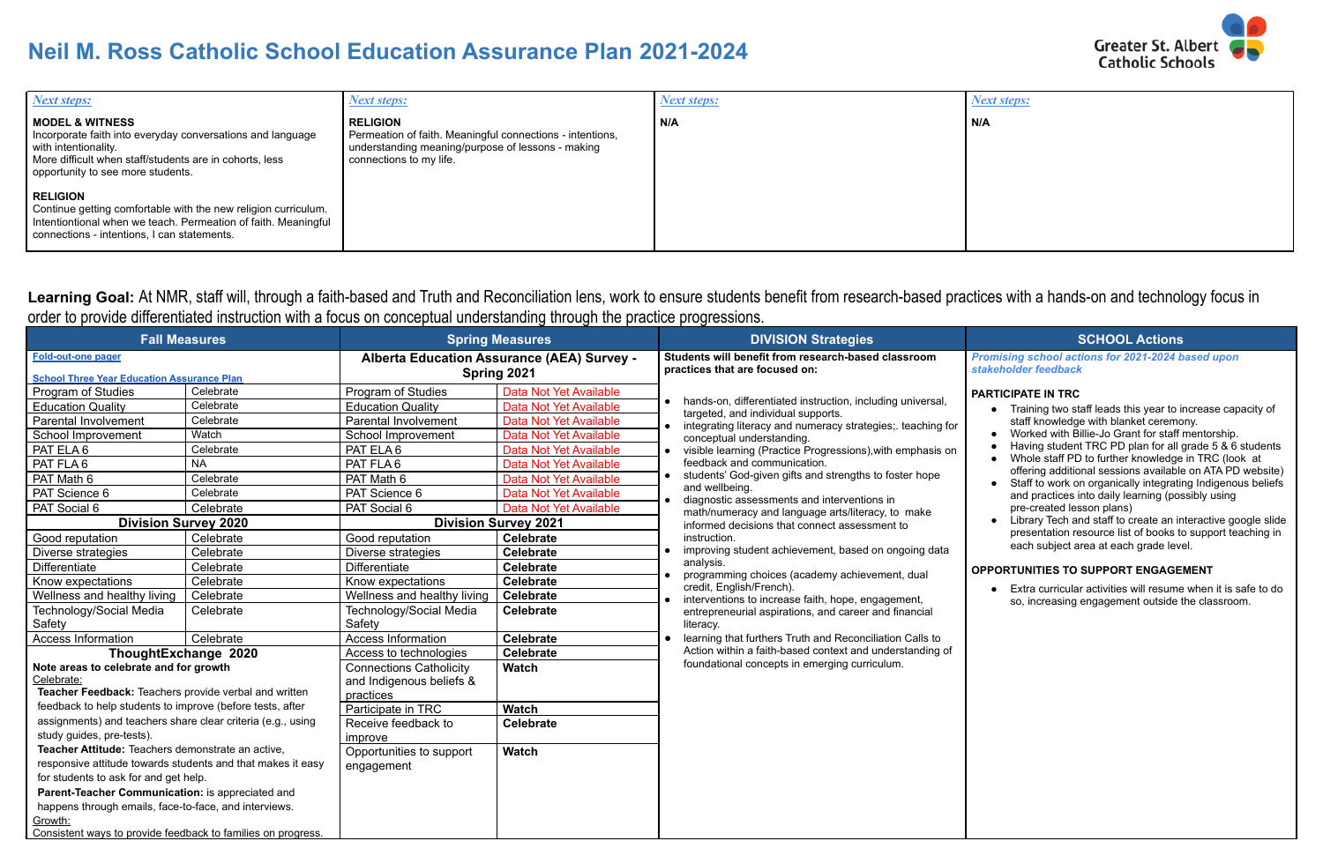# **Neil M. Ross Catholic School Education Assurance Plan 2021-2024**

| <b>Next steps:</b>                                                                                                                                                                                               | <b>Next steps:</b>                                                                                                                                           | <b>Next steps:</b> |  |
|------------------------------------------------------------------------------------------------------------------------------------------------------------------------------------------------------------------|--------------------------------------------------------------------------------------------------------------------------------------------------------------|--------------------|--|
| <b>MODEL &amp; WITNESS</b><br>Incorporate faith into everyday conversations and language<br>with intentionality.<br>More difficult when staff/students are in cohorts, less<br>opportunity to see more students. | <b>RELIGION</b><br>Permeation of faith. Meaningful connections - intentions,<br>understanding meaning/purpose of lessons - making<br>connections to my life. | N/A                |  |
| <b>RELIGION</b><br>Continue getting comfortable with the new religion curriculum.<br>Intentiontional when we teach. Permeation of faith. Meaningful<br>connections - intentions, I can statements.               |                                                                                                                                                              |                    |  |

Learning Goal: At NMR, staff will, through a faith-based and Truth and Reconciliation lens, work to ensure students benefit from research-based practices with a hands-on and technology focus in order to provide differentiated instruction with a focus on conceptual understanding through the practice progressions.

*Next steps:*

### **N/A**

*Promising school actions for 2021-2024 based upon stakeholder feedback*

### **PARTICIPATE IN TRC**

- Training two staff leads this year to increase capacity of staff knowledge with blanket ceremony.
- Worked with Billie-Jo Grant for staff mentorship.
- Having student TRC PD plan for all grade 5 & 6 students
- Whole staff PD to further knowledge in TRC (look at offering additional sessions available on ATA PD website)
- Staff to work on organically integrating Indigenous beliefs and practices into daily learning (possibly using pre-created lesson plans)
- Library Tech and staff to create an interactive google slide presentation resource list of books to support teaching in each subject area at each grade level.

### **OPPORTUNITIES TO SUPPORT ENGAGEMENT**

| <b>Fall Measures</b>                                                                                                                                                                                                                                                                                                                                                                                                                                                                                                                                                                                                                                                                                                                                                                                                                                           |                                                                                                                                                                                                          | <b>Spring Measures</b>                                                                                                                                                                                                                                                                                                                                                                                                                                                                                                                                      |                                                                                                                                                                                                                                                                                                                                                                                                                                                                                                           | <b>DIVISION Strategies</b>                                                            |                                                                                                                                                                                                                                                                                                                                                                                                                                                                                                                                                                                                                                                                                                                                                                                                                                                                                                           | <b>SCHOOL Actions</b>                                                                                                                                                                                                                                                                                                                                                                                                                                                                                                                                                                                                                                         |  |
|----------------------------------------------------------------------------------------------------------------------------------------------------------------------------------------------------------------------------------------------------------------------------------------------------------------------------------------------------------------------------------------------------------------------------------------------------------------------------------------------------------------------------------------------------------------------------------------------------------------------------------------------------------------------------------------------------------------------------------------------------------------------------------------------------------------------------------------------------------------|----------------------------------------------------------------------------------------------------------------------------------------------------------------------------------------------------------|-------------------------------------------------------------------------------------------------------------------------------------------------------------------------------------------------------------------------------------------------------------------------------------------------------------------------------------------------------------------------------------------------------------------------------------------------------------------------------------------------------------------------------------------------------------|-----------------------------------------------------------------------------------------------------------------------------------------------------------------------------------------------------------------------------------------------------------------------------------------------------------------------------------------------------------------------------------------------------------------------------------------------------------------------------------------------------------|---------------------------------------------------------------------------------------|-----------------------------------------------------------------------------------------------------------------------------------------------------------------------------------------------------------------------------------------------------------------------------------------------------------------------------------------------------------------------------------------------------------------------------------------------------------------------------------------------------------------------------------------------------------------------------------------------------------------------------------------------------------------------------------------------------------------------------------------------------------------------------------------------------------------------------------------------------------------------------------------------------------|---------------------------------------------------------------------------------------------------------------------------------------------------------------------------------------------------------------------------------------------------------------------------------------------------------------------------------------------------------------------------------------------------------------------------------------------------------------------------------------------------------------------------------------------------------------------------------------------------------------------------------------------------------------|--|
| <b>Fold-out-one pager</b>                                                                                                                                                                                                                                                                                                                                                                                                                                                                                                                                                                                                                                                                                                                                                                                                                                      |                                                                                                                                                                                                          | Alberta Education Assurance (AEA) Survey -<br>Spring 2021                                                                                                                                                                                                                                                                                                                                                                                                                                                                                                   |                                                                                                                                                                                                                                                                                                                                                                                                                                                                                                           | Students will benefit from research-based classroom<br>practices that are focused on: |                                                                                                                                                                                                                                                                                                                                                                                                                                                                                                                                                                                                                                                                                                                                                                                                                                                                                                           | Promising school actions for 2021-2024 b<br>stakeholder feedback                                                                                                                                                                                                                                                                                                                                                                                                                                                                                                                                                                                              |  |
| <b>School Three Year Education Assurance Plan</b><br>Program of Studies<br><b>Education Quality</b><br><b>Parental Involvement</b><br>School Improvement<br>PAT ELA 6<br>PAT FLA6<br>PAT Math 6<br>PAT Science 6<br>PAT Social 6<br><b>Division Survey 2020</b><br>Good reputation<br>Diverse strategies<br>Differentiate<br>Know expectations<br>Wellness and healthy living<br>Technology/Social Media<br>Safety<br>Access Information<br>ThoughtExchange 2020<br>Note areas to celebrate and for growth<br>Celebrate:<br>Teacher Feedback: Teachers provide verbal and written<br>feedback to help students to improve (before tests, after<br>assignments) and teachers share clear criteria (e.g., using<br>study guides, pre-tests).<br>Teacher Attitude: Teachers demonstrate an active,<br>responsive attitude towards students and that makes it easy | Celebrate<br>Celebrate<br>Celebrate<br>Watch<br>Celebrate<br><b>NA</b><br>Celebrate<br>Celebrate<br>Celebrate<br>Celebrate<br>Celebrate<br>Celebrate<br>Celebrate<br>Celebrate<br>Celebrate<br>Celebrate | Program of Studies<br><b>Education Quality</b><br>Parental Involvement<br>School Improvement<br>PAT ELA 6<br>PAT FLA6<br>PAT Math 6<br>PAT Science 6<br>PAT Social 6<br>Good reputation<br>Diverse strategies<br>Differentiate<br>Know expectations<br>Wellness and healthy living<br>Technology/Social Media<br>Safety<br><b>Access Information</b><br>Access to technologies<br><b>Connections Catholicity</b><br>and Indigenous beliefs &<br>practices<br>Participate in TRC<br>Receive feedback to<br>improve<br>Opportunities to support<br>engagement | Data Not Yet Available<br>Data Not Yet Available<br>Data Not Yet Available<br>Data Not Yet Available<br>Data Not Yet Available<br>Data Not Yet Available<br>Data Not Yet Available<br>Data Not Yet Available<br>Data Not Yet Available<br><b>Division Survey 2021</b><br><b>Celebrate</b><br><b>Celebrate</b><br><b>Celebrate</b><br><b>Celebrate</b><br><b>Celebrate</b><br><b>Celebrate</b><br><b>Celebrate</b><br><b>Celebrate</b><br><b>Watch</b><br><b>Watch</b><br><b>Celebrate</b><br><b>Watch</b> | and wellbeing.<br>instruction.<br>analysis.<br>credit, English/French).<br>literacy.  | hands-on, differentiated instruction, including universal,<br>targeted, and individual supports.<br>integrating literacy and numeracy strategies; teaching for<br>conceptual understanding.<br>visible learning (Practice Progressions), with emphasis on<br>feedback and communication.<br>students' God-given gifts and strengths to foster hope<br>diagnostic assessments and interventions in<br>math/numeracy and language arts/literacy, to make<br>informed decisions that connect assessment to<br>improving student achievement, based on ongoing data<br>programming choices (academy achievement, dual<br>interventions to increase faith, hope, engagement,<br>entrepreneurial aspirations, and career and financial<br>learning that furthers Truth and Reconciliation Calls to<br>Action within a faith-based context and understanding of<br>foundational concepts in emerging curriculum. | <b>PARTICIPATE IN TRC</b><br>• Training two staff leads this year to in<br>staff knowledge with blanket ceremo<br>Worked with Billie-Jo Grant for staff r<br>Having student TRC PD plan for all g<br>Whole staff PD to further knowledge<br>offering additional sessions available<br>Staff to work on organically integratir<br>and practices into daily learning (pos<br>pre-created lesson plans)<br>Library Tech and staff to create an in<br>presentation resource list of books to<br>each subject area at each grade leve<br><b>OPPORTUNITIES TO SUPPORT ENGAGEI</b><br>Extra curricular activities will resume<br>so, increasing engagement outside t |  |
| for students to ask for and get help.<br>Parent-Teacher Communication: is appreciated and<br>happens through emails, face-to-face, and interviews.<br>Growth:<br>Consistent ways to provide feedback to families on progress.                                                                                                                                                                                                                                                                                                                                                                                                                                                                                                                                                                                                                                  |                                                                                                                                                                                                          |                                                                                                                                                                                                                                                                                                                                                                                                                                                                                                                                                             |                                                                                                                                                                                                                                                                                                                                                                                                                                                                                                           |                                                                                       |                                                                                                                                                                                                                                                                                                                                                                                                                                                                                                                                                                                                                                                                                                                                                                                                                                                                                                           |                                                                                                                                                                                                                                                                                                                                                                                                                                                                                                                                                                                                                                                               |  |

**Greater St. Albert Catholic Schools** 

● Extra curricular activities will resume when it is safe to do so, increasing engagement outside the classroom.